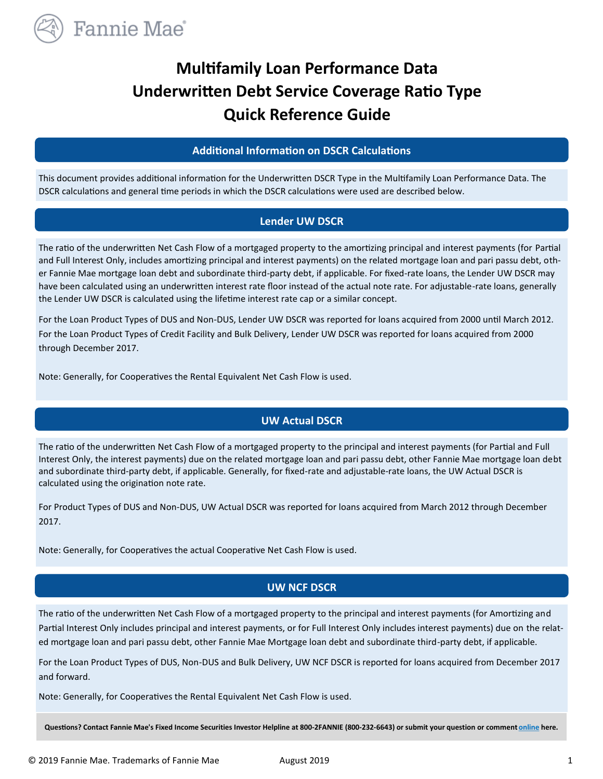

# **Multifamily Loan Performance Data Underwritten Debt Service Coverage Ratio Type Quick Reference Guide**

#### **Additional Information on DSCR Calculations**

This document provides additional information for the Underwritten DSCR Type in the Multifamily Loan Performance Data. The DSCR calculations and general time periods in which the DSCR calculations were used are described below.

#### **Lender UW DSCR**

The ratio of the underwritten Net Cash Flow of a mortgaged property to the amortizing principal and interest payments (for Partial and Full Interest Only, includes amortizing principal and interest payments) on the related mortgage loan and pari passu debt, other Fannie Mae mortgage loan debt and subordinate third-party debt, if applicable. For fixed-rate loans, the Lender UW DSCR may have been calculated using an underwritten interest rate floor instead of the actual note rate. For adjustable-rate loans, generally the Lender UW DSCR is calculated using the lifetime interest rate cap or a similar concept.

For the Loan Product Types of DUS and Non-DUS, Lender UW DSCR was reported for loans acquired from 2000 until March 2012. For the Loan Product Types of Credit Facility and Bulk Delivery, Lender UW DSCR was reported for loans acquired from 2000 through December 2017.

Note: Generally, for Cooperatives the Rental Equivalent Net Cash Flow is used.

## **UW Actual DSCR**

The ratio of the underwritten Net Cash Flow of a mortgaged property to the principal and interest payments (for Partial and Full Interest Only, the interest payments) due on the related mortgage loan and pari passu debt, other Fannie Mae mortgage loan debt and subordinate third-party debt, if applicable. Generally, for fixed-rate and adjustable-rate loans, the UW Actual DSCR is calculated using the origination note rate.

For Product Types of DUS and Non-DUS, UW Actual DSCR was reported for loans acquired from March 2012 through December 2017.

Note: Generally, for Cooperatives the actual Cooperative Net Cash Flow is used.

## **UW NCF DSCR**

The ratio of the underwritten Net Cash Flow of a mortgaged property to the principal and interest payments (for Amortizing and Partial Interest Only includes principal and interest payments, or for Full Interest Only includes interest payments) due on the related mortgage loan and pari passu debt, other Fannie Mae Mortgage loan debt and subordinate third-party debt, if applicable.

For the Loan Product Types of DUS, Non-DUS and Bulk Delivery, UW NCF DSCR is reported for loans acquired from December 2017 and forward.

Note: Generally, for Cooperatives the Rental Equivalent Net Cash Flow is used.

**Questions? Contact Fannie Mae's Fixed Income Securities Investor Helpline at 800-2FANNIE (800-232-6643) or submit your question or comment [online](http://www.fanniemae.com/portal/jsp/fixed_income_contact_us.html?id=fim) here.**